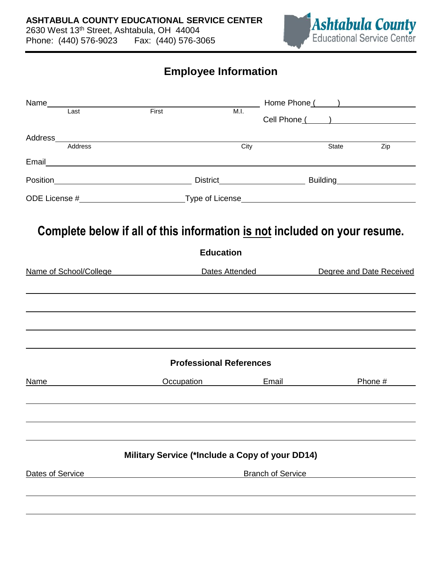

## **Employee Information**

|                  | Name and the state of the state of the state of the state of the state of the state of the state of the state of the state of the state of the state of the state of the state of the state of the state of the state of the s |                                                                                                                                       | __ Home Phone ( ___ ) ________________ |                          |         |
|------------------|--------------------------------------------------------------------------------------------------------------------------------------------------------------------------------------------------------------------------------|---------------------------------------------------------------------------------------------------------------------------------------|----------------------------------------|--------------------------|---------|
| Last             | First                                                                                                                                                                                                                          | M.I.                                                                                                                                  |                                        | Cell Phone ( )           |         |
|                  |                                                                                                                                                                                                                                |                                                                                                                                       |                                        |                          |         |
| Address          |                                                                                                                                                                                                                                | City                                                                                                                                  |                                        | State                    | Zip     |
|                  |                                                                                                                                                                                                                                |                                                                                                                                       |                                        |                          |         |
|                  |                                                                                                                                                                                                                                | Position <b>No. 2018</b> District <b>No. 2018</b> District <b>No. 2018</b> District <b>No. 2018</b> District <b>No. 2018</b> District |                                        |                          |         |
|                  |                                                                                                                                                                                                                                |                                                                                                                                       |                                        |                          |         |
|                  |                                                                                                                                                                                                                                | Complete below if all of this information is not included on your resume.<br><b>Education</b>                                         |                                        |                          |         |
|                  | Name of School/College                                                                                                                                                                                                         |                                                                                                                                       | Dates Attended <b>Dates</b> Attended   | Degree and Date Received |         |
|                  |                                                                                                                                                                                                                                |                                                                                                                                       |                                        |                          |         |
|                  |                                                                                                                                                                                                                                |                                                                                                                                       |                                        |                          |         |
|                  |                                                                                                                                                                                                                                |                                                                                                                                       |                                        |                          |         |
|                  |                                                                                                                                                                                                                                |                                                                                                                                       |                                        |                          |         |
|                  |                                                                                                                                                                                                                                | <b>Professional References</b>                                                                                                        |                                        |                          |         |
| Name             |                                                                                                                                                                                                                                | <b>Occupation</b>                                                                                                                     | <b>Email Email</b>                     |                          | Phone # |
|                  |                                                                                                                                                                                                                                |                                                                                                                                       |                                        |                          |         |
|                  |                                                                                                                                                                                                                                |                                                                                                                                       |                                        |                          |         |
|                  |                                                                                                                                                                                                                                |                                                                                                                                       |                                        |                          |         |
|                  |                                                                                                                                                                                                                                | Military Service (*Include a Copy of your DD14)                                                                                       |                                        |                          |         |
| Dates of Service |                                                                                                                                                                                                                                |                                                                                                                                       | <b>Branch of Service</b>               |                          |         |
|                  |                                                                                                                                                                                                                                |                                                                                                                                       |                                        |                          |         |
|                  |                                                                                                                                                                                                                                |                                                                                                                                       |                                        |                          |         |
|                  |                                                                                                                                                                                                                                |                                                                                                                                       |                                        |                          |         |